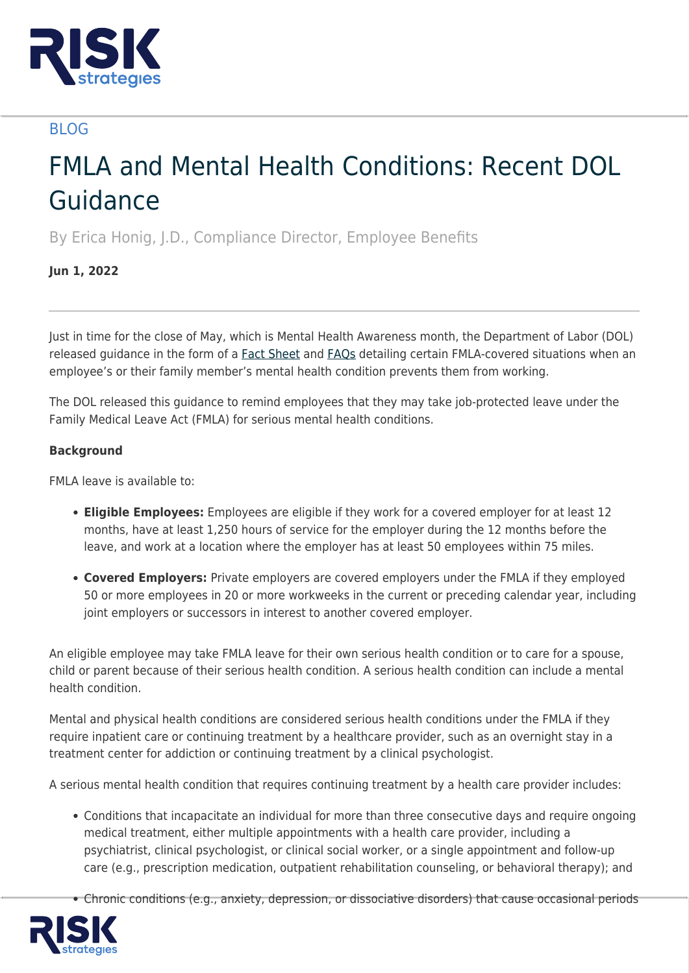

# BLOG

# FMLA and Mental Health Conditions: Recent DOL Guidance

By Erica Honig, J.D., Compliance Director, Employee Benefits

# **Jun 1, 2022**

Just in time for the close of May, which is Mental Health Awareness month, the Department of Labor (DOL) released guidance in the form of a [Fact Sheet](https://www.dol.gov/agencies/whd/fact-sheets/28o-mental-health) and [FAQs](https://www.dol.gov/agencies/whd/fmla/mental-health) detailing certain FMLA-covered situations when an employee's or their family member's mental health condition prevents them from working.

The DOL released this guidance to remind employees that they may take job-protected leave under the Family Medical Leave Act (FMLA) for serious mental health conditions.

## **Background**

FMLA leave is available to:

- **Eligible Employees:** Employees are eligible if they work for a covered employer for at least 12 months, have at least 1,250 hours of service for the employer during the 12 months before the leave, and work at a location where the employer has at least 50 employees within 75 miles.
- **Covered Employers:** Private employers are covered employers under the FMLA if they employed 50 or more employees in 20 or more workweeks in the current or preceding calendar year, including joint employers or successors in interest to another covered employer.

An eligible employee may take FMLA leave for their own serious health condition or to care for a spouse, child or parent because of their serious health condition. A serious health condition can include a mental health condition.

Mental and physical health conditions are considered serious health conditions under the FMLA if they require inpatient care or continuing treatment by a healthcare provider, such as an overnight stay in a treatment center for addiction or continuing treatment by a clinical psychologist.

A serious mental health condition that requires continuing treatment by a health care provider includes:

- Conditions that incapacitate an individual for more than three consecutive days and require ongoing medical treatment, either multiple appointments with a health care provider, including a psychiatrist, clinical psychologist, or clinical social worker, or a single appointment and follow-up care (e.g., prescription medication, outpatient rehabilitation counseling, or behavioral therapy); and
- Chronic conditions (e.g., anxiety, depression, or dissociative disorders) that cause occasional periods

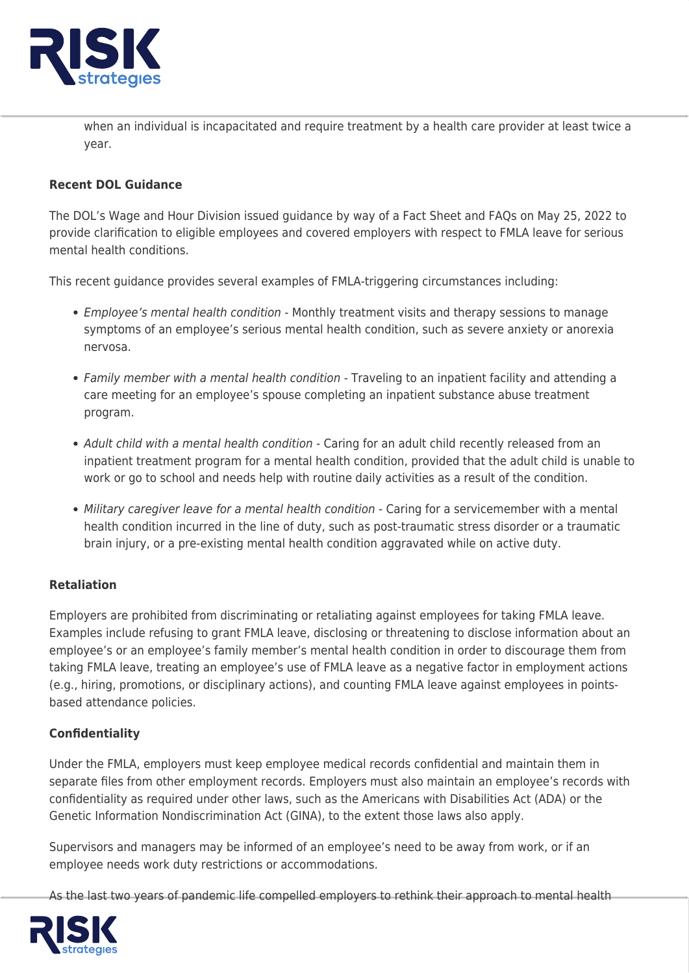

when an individual is incapacitated and require treatment by a health care provider at least twice a year.

### **Recent DOL Guidance**

The DOL's Wage and Hour Division issued guidance by way of a Fact Sheet and FAQs on May 25, 2022 to provide clarification to eligible employees and covered employers with respect to FMLA leave for serious mental health conditions.

This recent guidance provides several examples of FMLA-triggering circumstances including:

- Employee's mental health condition Monthly treatment visits and therapy sessions to manage symptoms of an employee's serious mental health condition, such as severe anxiety or anorexia nervosa.
- Family member with a mental health condition Traveling to an inpatient facility and attending a care meeting for an employee's spouse completing an inpatient substance abuse treatment program.
- Adult child with a mental health condition Caring for an adult child recently released from an inpatient treatment program for a mental health condition, provided that the adult child is unable to work or go to school and needs help with routine daily activities as a result of the condition.
- Military caregiver leave for a mental health condition Caring for a servicemember with a mental health condition incurred in the line of duty, such as post-traumatic stress disorder or a traumatic brain injury, or a pre-existing mental health condition aggravated while on active duty.

## **Retaliation**

Employers are prohibited from discriminating or retaliating against employees for taking FMLA leave. Examples include refusing to grant FMLA leave, disclosing or threatening to disclose information about an employee's or an employee's family member's mental health condition in order to discourage them from taking FMLA leave, treating an employee's use of FMLA leave as a negative factor in employment actions (e.g., hiring, promotions, or disciplinary actions), and counting FMLA leave against employees in pointsbased attendance policies.

#### **Confidentiality**

Under the FMLA, employers must keep employee medical records confidential and maintain them in separate files from other employment records. Employers must also maintain an employee's records with confidentiality as required under other laws, such as the Americans with Disabilities Act (ADA) or the Genetic Information Nondiscrimination Act (GINA), to the extent those laws also apply.

Supervisors and managers may be informed of an employee's need to be away from work, or if an employee needs work duty restrictions or accommodations.

As the last two years of pandemic life compelled employers to rethink their approach to mental health